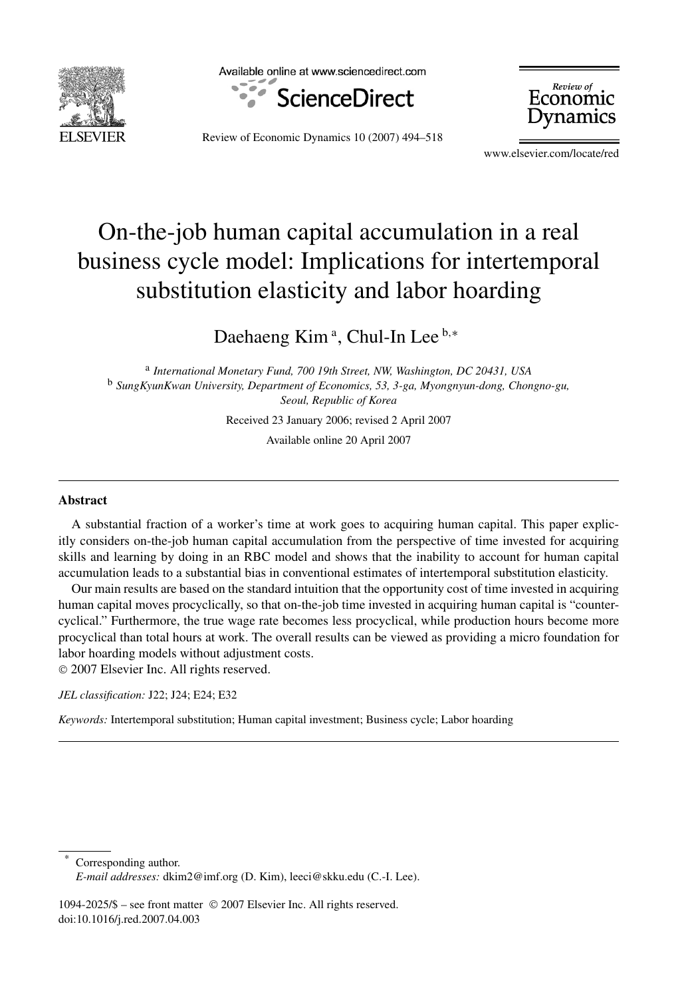

Available online at www.sciencedirect.com



Review of Economic Jynamics

Review of Economic Dynamics 10 (2007) 494–518

www.elsevier.com/locate/red

## On-the-job human capital accumulation in a real business cycle model: Implications for intertemporal substitution elasticity and labor hoarding

Daehaeng Kim<sup>a</sup>, Chul-In Lee<sup>b,∗</sup>

<sup>a</sup> *International Monetary Fund, 700 19th Street, NW, Washington, DC 20431, USA* <sup>b</sup> *SungKyunKwan University, Department of Economics, 53, 3-ga, Myongnyun-dong, Chongno-gu, Seoul, Republic of Korea*

Received 23 January 2006; revised 2 April 2007

Available online 20 April 2007

## **Abstract**

A substantial fraction of a worker's time at work goes to acquiring human capital. This paper explicitly considers on-the-job human capital accumulation from the perspective of time invested for acquiring skills and learning by doing in an RBC model and shows that the inability to account for human capital accumulation leads to a substantial bias in conventional estimates of intertemporal substitution elasticity.

Our main results are based on the standard intuition that the opportunity cost of time invested in acquiring human capital moves procyclically, so that on-the-job time invested in acquiring human capital is "countercyclical." Furthermore, the true wage rate becomes less procyclical, while production hours become more procyclical than total hours at work. The overall results can be viewed as providing a micro foundation for labor hoarding models without adjustment costs.

© 2007 Elsevier Inc. All rights reserved.

*JEL classification:* J22; J24; E24; E32

*Keywords:* Intertemporal substitution; Human capital investment; Business cycle; Labor hoarding

Corresponding author. *E-mail addresses:* dkim2@imf.org (D. Kim), leeci@skku.edu (C.-I. Lee).

1094-2025/\$ – see front matter © 2007 Elsevier Inc. All rights reserved. doi:10.1016/j.red.2007.04.003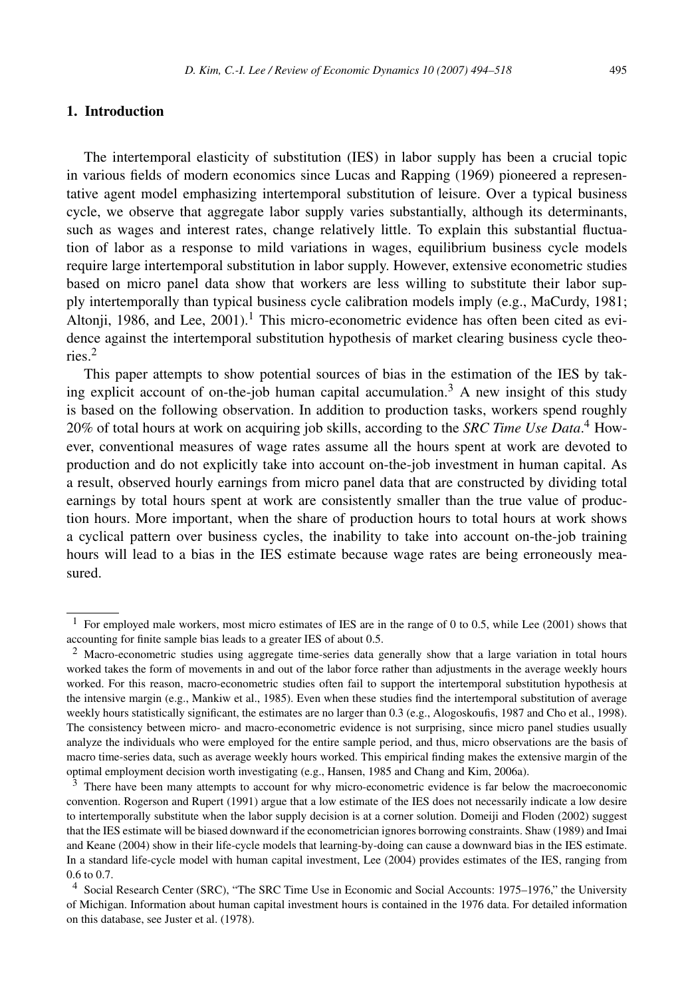## **1. Introduction**

The intertemporal elasticity of substitution (IES) in labor supply has been a crucial topic in various fields of modern economics since Lucas and Rapping (1969) pioneered a representative agent model emphasizing intertemporal substitution of leisure. Over a typical business cycle, we observe that aggregate labor supply varies substantially, although its determinants, such as wages and interest rates, change relatively little. To explain this substantial fluctuation of labor as a response to mild variations in wages, equilibrium business cycle models require large intertemporal substitution in labor supply. However, extensive econometric studies based on micro panel data show that workers are less willing to substitute their labor supply intertemporally than typical business cycle calibration models imply (e.g., MaCurdy, 1981; Altonji, 1986, and Lee,  $2001$ ).<sup>1</sup> This micro-econometric evidence has often been cited as evidence against the intertemporal substitution hypothesis of market clearing business cycle theories.2

This paper attempts to show potential sources of bias in the estimation of the IES by taking explicit account of on-the-job human capital accumulation.<sup>3</sup> A new insight of this study is based on the following observation. In addition to production tasks, workers spend roughly 20% of total hours at work on acquiring job skills, according to the *SRC Time Use Data*. <sup>4</sup> However, conventional measures of wage rates assume all the hours spent at work are devoted to production and do not explicitly take into account on-the-job investment in human capital. As a result, observed hourly earnings from micro panel data that are constructed by dividing total earnings by total hours spent at work are consistently smaller than the true value of production hours. More important, when the share of production hours to total hours at work shows a cyclical pattern over business cycles, the inability to take into account on-the-job training hours will lead to a bias in the IES estimate because wage rates are being erroneously measured.

<sup>&</sup>lt;sup>1</sup> For employed male workers, most micro estimates of IES are in the range of 0 to 0.5, while Lee (2001) shows that accounting for finite sample bias leads to a greater IES of about 0.5.

<sup>&</sup>lt;sup>2</sup> Macro-econometric studies using aggregate time-series data generally show that a large variation in total hours worked takes the form of movements in and out of the labor force rather than adjustments in the average weekly hours worked. For this reason, macro-econometric studies often fail to support the intertemporal substitution hypothesis at the intensive margin (e.g., Mankiw et al., 1985). Even when these studies find the intertemporal substitution of average weekly hours statistically significant, the estimates are no larger than 0.3 (e.g., Alogoskoufis, 1987 and Cho et al., 1998). The consistency between micro- and macro-econometric evidence is not surprising, since micro panel studies usually analyze the individuals who were employed for the entire sample period, and thus, micro observations are the basis of macro time-series data, such as average weekly hours worked. This empirical finding makes the extensive margin of the optimal employment decision worth investigating (e.g., Hansen, 1985 and Chang and Kim, 2006a).

<sup>&</sup>lt;sup>3</sup> There have been many attempts to account for why micro-econometric evidence is far below the macroeconomic convention. Rogerson and Rupert (1991) argue that a low estimate of the IES does not necessarily indicate a low desire to intertemporally substitute when the labor supply decision is at a corner solution. Domeiji and Floden (2002) suggest that the IES estimate will be biased downward if the econometrician ignores borrowing constraints. Shaw (1989) and Imai and Keane (2004) show in their life-cycle models that learning-by-doing can cause a downward bias in the IES estimate. In a standard life-cycle model with human capital investment, Lee (2004) provides estimates of the IES, ranging from 0.6 to 0.7.

<sup>4</sup> Social Research Center (SRC), "The SRC Time Use in Economic and Social Accounts: 1975–1976," the University of Michigan. Information about human capital investment hours is contained in the 1976 data. For detailed information on this database, see Juster et al. (1978).